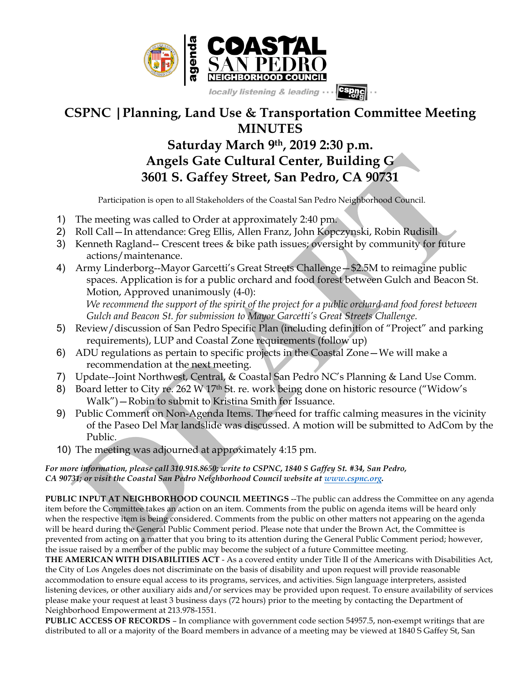

## **CSPNC |Planning, Land Use & Transportation Committee Meeting MINUTES**

## **Saturday March 9th, 2019 2:30 p.m. Angels Gate Cultural Center, Building G 3601 S. Gaffey Street, San Pedro, CA 90731**

Participation is open to all Stakeholders of the Coastal San Pedro Neighborhood Council.

- 1) The meeting was called to Order at approximately 2:40 pm.
- 2) Roll Call—In attendance: Greg Ellis, Allen Franz, John Kopczynski, Robin Rudisill
- 3) Kenneth Ragland-- Crescent trees & bike path issues; oversight by community for future actions/maintenance.
- 4) Army Linderborg--Mayor Garcetti's Great Streets Challenge—\$2.5M to reimagine public spaces. Application is for a public orchard and food forest between Gulch and Beacon St. Motion, Approved unanimously (4-0): *We recommend the support of the spirit of the project for a public orchard and food forest between Gulch and Beacon St. for submission to Mayor Garcetti's Great Streets Challenge.*
- 5) Review/discussion of San Pedro Specific Plan (including definition of "Project" and parking requirements), LUP and Coastal Zone requirements (follow up)
- 6) ADU regulations as pertain to specific projects in the Coastal Zone—We will make a recommendation at the next meeting.
- 7) Update--Joint Northwest, Central, & Coastal San Pedro NC's Planning & Land Use Comm.
- 8) Board letter to City re. 262 W 17<sup>th</sup> St. re. work being done on historic resource ("Widow's Walk")—Robin to submit to Kristina Smith for Issuance.
- 9) Public Comment on Non-Agenda Items. The need for traffic calming measures in the vicinity of the Paseo Del Mar landslide was discussed. A motion will be submitted to AdCom by the Public.
- 10) The meeting was adjourned at approximately 4:15 pm.

## *For more information, please call 310.918.8650; write to CSPNC, 1840 S Gaffey St. #34, San Pedro, CA 90731; or visit the Coastal San Pedro Neighborhood Council website at www.cspnc.org.*

**PUBLIC INPUT AT NEIGHBORHOOD COUNCIL MEETINGS** --The public can address the Committee on any agenda item before the Committee takes an action on an item. Comments from the public on agenda items will be heard only when the respective item is being considered. Comments from the public on other matters not appearing on the agenda will be heard during the General Public Comment period. Please note that under the Brown Act, the Committee is prevented from acting on a matter that you bring to its attention during the General Public Comment period; however, the issue raised by a member of the public may become the subject of a future Committee meeting.

**THE AMERICAN WITH DISABILITIES ACT** - As a covered entity under Title II of the Americans with Disabilities Act, the City of Los Angeles does not discriminate on the basis of disability and upon request will provide reasonable accommodation to ensure equal access to its programs, services, and activities. Sign language interpreters, assisted listening devices, or other auxiliary aids and/or services may be provided upon request. To ensure availability of services please make your request at least 3 business days (72 hours) prior to the meeting by contacting the Department of Neighborhood Empowerment at 213.978-1551.

**PUBLIC ACCESS OF RECORDS** – In compliance with government code section 54957.5, non-exempt writings that are distributed to all or a majority of the Board members in advance of a meeting may be viewed at 1840 S Gaffey St, San